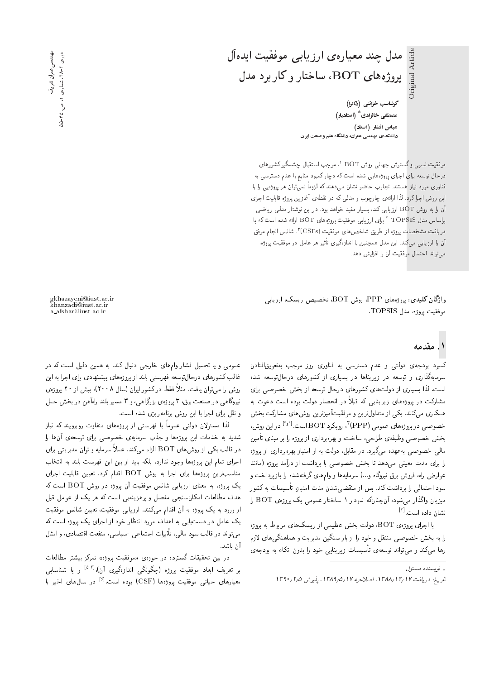گرشاسب خزائنی (دکترا) مصطفی خانزادی <sup>\*</sup> (استادیار) عباس افشار (استاد) دانشکدهی مهندسی عمران، دانشگاه علم و صنعت ایران

مدل چند معیارهی ارزیابی موفقیت ایدهآل

 $\phi$ پروژههای  $\overline{\mathrm{BOT}}$ ، ساختار و کار برد مدل

موفقیت نسبی وگسترش جهانی روش BOT '. موجب استقبال چشمگیرکشورهای<br>المعقب درحال توسعه برای اجرای پروژههایی شده است که دچار کمبود منابع یا عدم دسترسی به فناوری مورد نیاز هستند. تجارب حاضر نشان میدهند که لزوما نمیتوان هر پروژمیی را با<br>استفاده این مسئل استفاده این روش اجرا کرد. لذا ارائه ی چارچوب و مدلمی که در نقطهی آغازین پروژه قابلیت اجرای آن را به روش BOT ارزیابی کند، بسیار مفید خواهد بود. در این نوشتار مدلی ریاضی براساس مدل TOPSIS ' برای ارزیابی موفقیت پروژههای BOT ارائه شده است که با<br>مدل است. دريافت مشخصات پروژه از طريق شاخص هاى موفقيت (CSFs)<sup>۳</sup>، شانس انجام موفق<br>آ ان را ارزیابی میکند. این مدل همچنین با اندازهگیری تاثیر هر عامل در موفقیت پروژه.<br>- حامله استان مستقیم این این مستقیم استان مي تواند احتمال موفقيت آن را افزايش دهد.

واژگان كليدي: پروژههاي PPP، روش BOT، تخصيص ريسك، ارزيابي موفقيت پروژه، مدل TOPSIS.

# ۱. مقدمه

کمبود بودجهی دولتی و عدم دسترسی به فناوری روز موجب بهتعویقافتادن<br>سرمایهگذاری و توسعه در زیربناها در بسیاری از کشورهای درحال¢سعه شده است. لذا بسیاری از دولتهای کشورهای درحال توسعه از بخش خصوصی برای است. لذا بسیاری از دولت های تسورهای درخال نوشته از بخش حصوصی برای<br>مملکت مصدر است و است از تصنیف است است. مشارکت در پروژههای زیربنایی که فبلا در انحصار دولت بوده است دعوت به<br>مکان مسیحی میسر کرده و اسلامی به ستمتری و میان همکاری مهرکنند. یکی از متداول ترین و موفقیتآمیزترین روش های مشارکت بخش خصوصی در پروژههای عمومی (PPP) ٔ ، رویکرد BOT است.<sup>[۱</sup>٬۰۱] در این روش،<br>منصوصی در بارد بخش خصوصبي وظيفهى طراحي، ساخت، و بهرهبرداري از يروژه را بر مبناي تأمين مالی خصوصی بهعهده میگیرد. در مقابل، دولت به او امتیاز بهرهبرداری از پروژه<br>را برای مدت معینی می،دهد تا بخش خصوصی با برداشت از درآمد بروژه (مانند را برای مدت معینی میدهد تا بح*س حصوصی* با برداست از درآمد پروره (ماسد<br>ا عوارض راه، فروس برق بیروناه و ۱۰۰ سرمایه ها و وام های درفتهسده را باز پرداخت و<br>مساوات الله علم است ک سود احتمالی را برداشت کند. پس از منقضی شدن مدت امتیاز، تأسیسات به کشور میزبان واگذار می شود، آن چنانکه نمودار ۱ ساختار عمومی یک پروژه BOT را نشان داده است.<sup>[۱]</sup>

با اجرای پروژهی BOT، دولت بخش عظیمی از ریسک های مربوط به پروژه را به بخش خصوصی منتقل و خود را از بار سنگین مدیریت و هماهنگی های لازم رها مىمكند و مى تواند توسعهى تأسيسات زيربنايى خود را بدون اتكاء به بودجهى

gkhazayeni@iust.ac.ir khanzadi@iust.ac.ir a afshar@iust.ac.ir

عمومی و یا تحمیل فشار وامهای خارجی دنبال کند. به همین دلیل است که در<br>غالب کشورهای درحال توسعه فهرستی بلند از بروژههای بیشنهادی برای اجرا به این عالب تسورهای درخال وسعه فهرستی بلند از پروژههای پیستهادی برای اجرا به این<br>- همرا به سایر از سیمها گفتهای که به این ۱۸ است و ۲۰۰۷ میلود است روش را می توان یافت. مثلا فقط در دشور ایران (سال ۱۳۰۸)، بیش از ۲۰ پروژهی<br>. نیروگاهی در صنعت برق، ۳ یروژهی بزرگراهی، و ۳ مسیر بلند راهآهن در بخش حمل و نقل برای اجرا با این روش برنامهریزی شده است.

لدا مسئولان دولتی عموماً با فهرستی از پروژههای متفاوت روبرویند که نیاز<br>مسئولان شدید به خدمات این پروژهها و جذب سرمایهی خصوصی برای توسعهی آنها را در قالب یکی از روش های BOT الزام میکند. عملاً سرمایه و توان مدیریتبی برای اجرای تمام این پروژهها وجود ندارد، بلکه باید از بین این فهرست بلند به انتخاب مناسب ترین پروژهها برای اجرا به روش BOT اقدام کرد. تعیین قابلیت اجرای يک بروژه، به معناى ارزيابى شانس موفقيت أن بروژه در روش BOT است كه هدف مطالعات امکان سنجی مفصل و پرهزینهیی است که هر یک از عوامل قبل از ورود به یک پروژه به آن اقدام میکنند. ارزیابی موفقیت، تعیین شانس موفقیت<br>یک عامل در دست!بی به اهداف مورد انتظار خود از اجرای یک پروژه است که يف عامل در دستيابي به اهداف مورد انتصار حود از اجراي يف پروره است له<br>مصادر مصالح العظیم العظیم العاصر العصاد میتواند در قالب سود مالی، تاثیرات اجتماعی -سیاسی، منفعت اقتصادی، و امثال<br>آمرید آن باشد.<br>در بین تحقیقات گسترده در حوزهی «موفقیت پروژه» تمرکز بیشتر مطالعات

C=ar=]t QDW}@ RmQtD xSwQB C}kiwt |xRwL QO xOQDUo C=k}kLD u}@ QO بر تعریف ابعاد موفقیت پروژه (چگونگی اندازهگیری آن)،ا<sup>۲۳ و</sup> یا شناسایی<br>اسلمان این منتقدی با COD *(COD*) معیارهای حیاتی موفقیت پروژهها (CSF) بوده است.<sup>[۶]</sup> در سالαای اخیر با<br>.

 $\int e^{i\omega}$ وسىئادە مىسئول

تاريخ: دريافت ١٣/٩/١٢/ ١٣٨٨، اصلاحيه ١٢/ ١٣٨٩، مذير ش ١٣٩٥/ ١٣٩٠.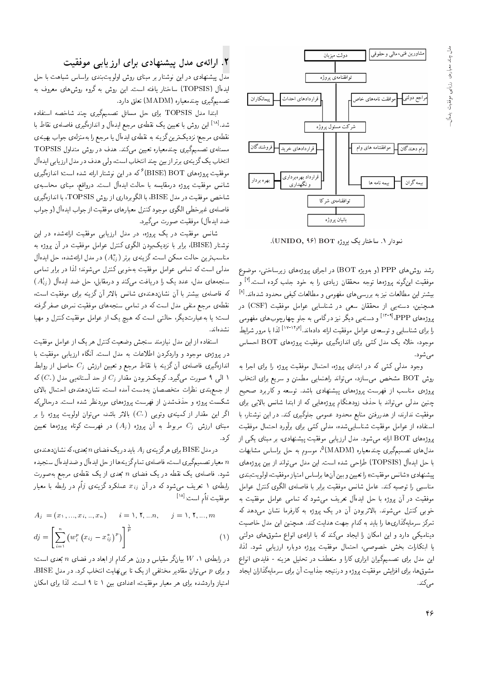

نمودار ۱. ساختار یک پروژه UNIDO, ۹۶).

رشد روشهای PPP (و بهویژه BOT) در اجرای پروژههای زیرساختی، موضوع موفقيت اينگونه پروژهها توجه محققان زيادي را به خود جلب كرده است.<sup>[۷]</sup> و بیشتر این مطالعات نیز به بررسی های مفهومی و مطالعات کیفی محدود شدهاند. $^{[\Lambda]}$ همچنین، دستهیی از محققان سعی در شناسایی عوامل موفقیت (CSF) در پروژههای PPP،<sup>[۱۳-۹]</sup> و دستهیی دیگر نیز درگامی به جلو چهارچوبهای مفهومی را برای شناسایی و توسعه ی عوامل موفقیت ارائه دادهاند.<sup>[۱۴٫۷]</sup> لذا با مرور شرایط موجود، خلاء یک مدل کمّی برای اندازهگیری موفقیت بروژههای BOT احساس مے شود.

وجود مدلی کمّی که در ابتدای پروژه، احتمال موفقیت پروژه را برای اجرا به روش BOT مشخص مىسازد، مى تواند راهنمايى مطمئن و سريع براى انتخاب پروژهی مناسب از فهرست پروژههای پیشنهادی باشد. توسعه و کاربرد صحیح چنین مدلی می;تواند با حذف زودهنگام بروژههایی که از ابتدا شانس بالایی برای موفقیت ندارند، از هدررفتن منابع محدود عمومی جلوگیری کند. در این نوشتار، با استفاده از عوامل موفقیت شناسایی شده، مدلی کمّی برای برآورد احتمال موفقیت پروژههای BOT ارائه میشود. مدل ارزیابی موفقیت پیشنهادی، بر مبنای یکی از مدل(های تصمیمگیری چندمعیاره (MADM)°، موسوم به حل براساس مشابهات با حل ايدهآل (TOPSIS) طراحي شده است. اين مدل مي تواند از بين پروژههاى پیشنهادی «شانس موفقیت» را تعیین و بین آنها براساس امتیاز موفقیت، اولویتبندی مناسبهي را توصيه كند. عامل شانس موفقيت برابر با فاصلهى الگوى كنترل عوامل موفقیت در آن بروژه با حل ایدهآل تعریف می شود که تمامی عوامل موفقیت به خوبی کنترل می شوند. بالاتربودن آن در یک پروژه به کارفرما نشان می دهد که تمرکز سرمایهگذاری ها را باید به کدام جهت هدایت کند. همچنین این مدل خاصیت دینامیکی دارد و این امکان را ایجاد میکند که با ارائهی انواع مشوق های دولتی يا ابتكارات بخش خصوصي، احتمال موفقيت بروژه دوباره ارزيابي شود. لذا، این مدل برای تصمیمگیران ابزاری کارا و منعطف در تحلیل هزینه - فایدهی انواع مشوق ها، برای افزایش موفقیت پروژه و درنتیجه جذابیت أن برای سرمایهگذاران ایجاد مے ,کند.

### ۲. ارائهی مدل پیشنهادی برای ارزیابی موفقیت

مدل پیشنهادی در این نوشتار بر مبنای روش اولویتبندی براساس شباهت با حل ايدهأل (TOPSIS) ساختار يافته است. اين روش به گروه روشهاى معروف به تصمیمگیری چندمعیاره (MADM) تعلق دارد.

ابتدا مدل TOPSIS برای حل مسائل تصمیمگیری چند شاخصه استفاده شد.<sup>[۱۸]</sup> این روش با تعیین یک نقطهی مرجع ایدهآل و اندازهگیری فاصلهی نقاط با نقطهي مرجع؛ نزديکترين گزينه به نقطهي ايدهآل يا مرجع را بهمنزلهي جواب بهينهي مسئلهی تصمیمگیری چندمعیاره تعیین میکند. هدف در روش متداول TOPSIS انتخاب يك گزينهي برتر از بين چند انتخاب است، ولي هدف در مدل ارزيابي ايدهآل موفقیت بروژههای BOT (BISE) گه در این نوشتار ارائه شده است؛ اندازهگیری شانس موفقیت پروژه درمقایسه با حالت ایدهآل است. درواقع، مبنای محاسبهی شاخص موفقیت در مدل BISE، با الگوبرداری از روش TOPSIS، با اندازهگیری فاصلهي غيرخطي الكوى موجود كنترل معيارهاي موفقيت از جواب ايدهآل (و جواب ضد ايدهآل) موفقيت صورت مي گيرد.

شانس موفقیت در یک پروژه، در مدل ارزیابی موفقیت ارائهشده در این نوشتار (BISE)، برابر با نزدیکبودن الگوی کنترل عوامل موفقیت در آن پروژه به مناسب ترین حالت ممکن است.گزینهی برتر ( $A_{ij}^{*}$ ) در مدل ارائهشده، حل ایدهآل مدلی است که تمامی عوامل موفقیت بهخوبی کنترل می شوند؛ لذا در برابر تمامی  $(A_{ij}^{\prime})$  سنجههای مدل، عدد یک را دریافت می کند و درمقابل، حل ضد ایدهآل  $(A_{ij}^{\prime})$ كه فاصلهى بيشتر با آن نشاندهندهى شانس بالاتر آن گزينه براى موفقيت است، نقطهی مرجع منفی مدل است که در تمامی سنجههای موفقیت نمرهی صفر گرفته است؛ یا به عبارتدیگر، حالتبی است که هیچ یک از عوامل موفقیت کنترل و مهیا نشده ند.

استفاده از این مدل نیازمند سنجش وضعیت کنترل هر یک از عوامل موفقیت در پروژهی موجود و واردکردن اطلاعات به مدل است. أنگاه ارزیابی موفقیت با اندازهگیری فاصلهی آن گزینه با نقاط مرجع و تعیین ارزش  $C_j$  حاصل از روابط ا الی ۹ صورت میگیرد. کوچکتربودن مقدار ز $C_j$  از حد آستانهیی مدل  $(C_\circ)$  که از جمع بندی نظرات متخصصان به دست آمده است، نشان دهندهی احتمال بالای شکست پروژه و حذفشدن از فهرست پروژههای موردنظر شده است. درحالیکه اگر این مقدار از کمینهی وتویی (C،) بالاتر باشد، میتوان اولویت پروژه را بر مبنای ارزش  $C_j$  مربوط به آن پروژه  $(A_j)$  در فهرست کوتاه پروژهها تعیین ک, د.

در مدل BISE برای هرگزینهی و $A_j$  باید در یک فضای n بَعدی، که نشاندهنده ی معیار تصمیمگیری است، فاصلهی تمام گزینهها از حل ایدهآل و ضدایدهآل سنجیده  $n$ شود. فاصلهی یک نقطه در یک فضای n بَعدی از یک نقطهی مرجع بهصورت رابطهى ١ تعريف مى شود كه در أن  $x_{ij}$  عملكرد گزينهى  $j$ ام در رابطه با معيار  $\left[\right]^{|\Lambda|}$ موفقيت  $i$ أم است:

$$
A_j = (x_1, ..., x_i, ..., x_n) \qquad i = 1, 1, ..., n, \qquad j = 1, 1, ..., m
$$
  

$$
dj = \left[ \sum_{i=1}^n (w_i^p (x_{ij} - x_{ij}^*)^p) \right]^{\frac{1}{p}}
$$
 (1)

در رابطهی ۱،  $W$  بیانگر مقیاس و وزن هرکدام از ابعاد در فضای  $n$  بَعدی است؛ و برای p میتوان مقادیر مختلفی از یک تا بی نهایت انتخاب کرد. در مدل BISE، امتیاز واردشده برای هر معیار موفقیت، اعدادی بین ۱ تا ۹ است. لذا برای امکان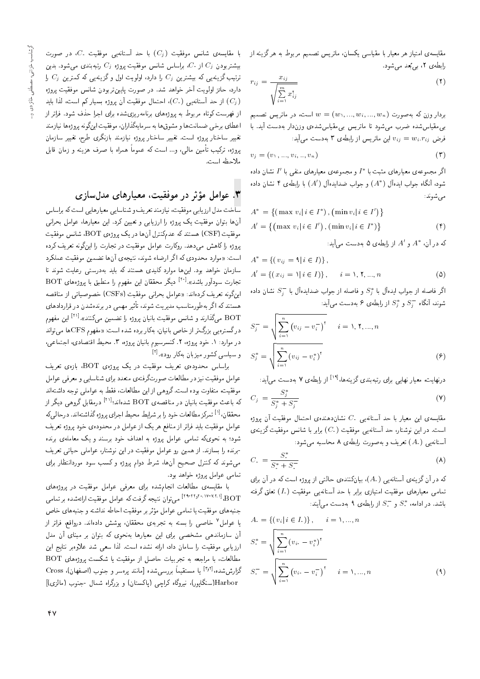مقایسهی امتیاز هر معیار با مقیاسی یکسان، ماتریس تصمیم مربوط به هرگزینه از رابطه ی ۲، به بعد می شود.

$$
r_{ij} = \frac{x_{ij}}{\sqrt{\sum_{i=1}^{m} x_{ij}^{\mathsf{r}}}}
$$
\n
$$
\tag{1}
$$

بردار وزن که بهصورت  $w_1, ..., w_{i}, ..., w_{i}, ..., w_{n}$  است، در ماتریس تصمیم بی،مقیاسشده ضرب می شود تا ماتریس بی،مقیاسشدهی وزندار بهدست آید. با  $v_{ij} = w_i$ . فرض  $v_{ij} = w_i$  این ماتریس از رابطهی ۳ بهدست می

$$
v_j = (v_1, \ldots, v_i, \ldots, v_n) \tag{7}
$$

اگر مجموعهی معیارهای مثبت با \*1 و مجموعهی معیارهای منفی با ′1 نشان داده شود، آنگاه جواب ایدهآل  $(A^*)$  و جواب ضدایدهآل  $(A')$  با رابطهی ۴ نشان داده می شوند:

$$
A^* = \{ (\max v_i | i \in I^*), (\min v_i | i \in I') \}
$$
  

$$
A' = \{ (\max v_i | i \in I') , (\min v_i | i \in I^* ) \}
$$
 (†)

که در آن،  $A^*$  و  $A'$  از رابطهی ۵ بهدست میآید:

$$
A^* = \{ (v_{ij} = \mathbf{1} | i \in I) \},
$$
  
\n
$$
A' = \{ (x_{ij} = \mathbf{1} | i \in I) \}, \quad i = \mathbf{1}, \mathbf{1}, \dots, n
$$
\n
$$
(2)
$$

اگر فاصله از جواب ایدهآل با  $S_j^*$  و فاصله از جواب ضدایدهآل با  $S_j^-$  نشان داده شوند، آنگاه  $S_i^+$  و  $S_i^*$  از رابطهی ۶ بهدست می $\tilde{\mathsf{I}}$ ید:

$$
S_j^- = \sqrt{\sum_{i=1}^n (v_{ij} - v_i^-)^\dagger} \qquad i = 1, 1, ..., n
$$
  

$$
S_j^* = \sqrt{\sum_{i=1}^n (v_{ij} - v_i^*)^\dagger}
$$
 (9)

درنهایت، معیار نهایی برای رتبهبندی گزینهها،اً<sup>۱۹]</sup> از رابطهی ۷ بهدست می آید:  $\sim$ 

$$
C_j = \frac{S_j}{S_j^* + S_j^-}
$$
 (Y)

مقایسهی این معیار با حد آستانهیی  $C_s$  نشاندهندهی احتمال موفقیت آن یروژه است. در این نوشتار، حد آستانه یی موفقیت (C، ) برابر با شانس موفقیت گزینهی آستانهیی (A.) تعریف و به صورت رابطهی ۸ محاسبه می شود:

$$
C_{\cdot} = \frac{S_{\cdot}^{*}}{S_{\cdot}^{*} + S_{\cdot}^{-}}
$$
\n
$$
\tag{A}
$$

که در آن گزینهی آستانهیی (A،)، بیانکنندهی حالتی از پروژه است که در آن برای تمامی معیارهای موفقیت امتیازی برابر با حد آستانهیی موفقیت (I،) تعلق گرفته باشد. در ادامه،  $S^*$  و  $S^-$  از رابطهی ۹ به دست می آیند:

$$
A_{i} = \{ (v_{i} | i \in I_{i}) \}, \qquad i = 1, ..., n
$$
  
\n
$$
S_{i}^{*} = \sqrt{\sum_{i=1}^{n} (v_{i} - v_{i}^{*})^{r}}
$$
  
\n
$$
S_{i}^{-} = \sqrt{\sum_{i=1}^{n} (v_{i} - v_{i}^{-})^{r}}
$$
  
\n
$$
i = 1, ..., n
$$
\n(1)

با مقایسهی شانس موفقیت  $(C_j)$  با حد آستانهیی موفقیت  $C$ ، در صورت بیشتربودن  $C_j$  از  $C_j$ ، براساس شانس موفقیت یروژه  $C_j$  رتبهبندی می شود. بدین ترتیب گزینهیی که بیشترین  $C_j$  را دارد، اولویت اول و گزینهیی که کمترین  $C_j$  را دارد، حائز اولويت آخر خواهد شد. در صورت پايين تربودن شانس موفقيت پروژه از حد آستانه یی  $(C_ \cdot )$ ، احتمال موفقیت آن یروژه بسیار کم است، لذا باید  $(C_j)$ از فهرست کوتاه مربوط به پروژههای برنامهریزیشده برای اجرا حذف شود. فراتر از اعطاى برخى ضمانت ها و مشوق ها به سرمايهگذاران، موفقيت اينگونه پروژه ها نيازمند تغییر ساختار بروژه است. تغییر ساختار بروژه نیازمند بازنگری طرح، تغییر سازمان يروژه، تركيب تأمين مالي، و... است كه عموماً همراه با صرف هزينه و زمان قابل ملاحظه است.

## ۳. عوامل مؤثر در موفقیت، معیارهای مدلِسازی

ساخت مدل ارزيابي موفقيت، نيازمند تعريف و شناسايي معيارهايي است كه براساس .<br>أنها بتوان موفقيت يك يروژه را ارزياب<sub>ي</sub> و تعيين كرد. اين معيارها، عوامل بحرانبي موفقیت (CSF) هستند که عدمکنترل آنها در یک پروژهی BOT، شانس موفقیت يروژه راكاهش مى،دهد. روكارت عوامل موفقيت در تجارت را اينگونه تعريف كرده است: «موارد محدودي كه اگر ارضاء شوند، نتيجهي آنها تضمين موفقيت عملكرد .<br>سازمان خواهد بود. اینها موارد کلیدی هستند که باید بهدرست<sub>ه</sub>ی رعایت شوند تا تجارت سودآور باشد».<sup>[۲۰]</sup> دیگر محققان این مفهوم را منطبق با بروژههای BOT اینگونه تعریف کردهاند: «عوامل بحرانی موفقیت (CSFs) خصوصیاتی از مناقصه هستند که اگر بهطورمناسب مدیریت شوند، تأثیر مهمی در برندهشدن در قراردادهای BOT میگذارند و شانس موفقیت بانیان پروژه را تضمین میکنند».<sup>[۱۱]</sup> این مفهوم در گسترهیی بزرگ تر از خاص بانیان، بهکار برده شده است: «مفهوم CFSها می تواند در موارد: ۱. خود پروژه، ۲.کنسرسیوم بانیان پروژه، ۳. محیط اقتصادی، اجتماعی، و سیاسی کشور میزبان بهکار رود».<sup>[۲]</sup>

براساس محدودهی تعریف موفقیت در یک پروژهی BOT، بازهی تعریف عوامل موفقيت نيز در مطالعات صورتگرفتهي متعدد براي شناسايي و معرفي عوامل موفقیت، متفاوت بوده است. گروهی از این مطالعات، فقط به عواملی توجه داشتهاند که باعث موفقیت بانیان در مناقصهی BOT شدهاند؛<sup>[۱۲]</sup> درمقابل گروهی دیگر از محققان، <sup>[۱]</sup> تمركز مطالعات خود را بر شرايط محيط اجراي يروژه گذاشتهاند. درحالي كه عوامل موفقیت باید فراتر از منافع هر یک از عوامل در محدودهی خود پروژه تعریف .<br>شود؛ به نحویکه تمامی عوامل پروژه به اهداف خود برسند و یک معاملهی برنده -برنده را بسازند. از همین رو عوامل موفقیت در این نوشتار، عواملی حیاتی تعریف می شوند که کنترل صحیح آنها، شرط دوام پروژه و کسب سود موردانتظار برای تمامی عوامل بروژه خواهد بود.

با مقايسهى مطالعات انجام شده براى معرفى عوامل موفقيت در بروژههاى BOT، ۲۰۰۱۷-۰۱۷-۱۲۹<sup>۱۱)</sup> می.توان نتیجه گرفت که عوامل موفقیت ارائهشده بر تمامی جنبههای موفقیت یا تمامی عوامل مؤثر بر موفقیت احاطه نداشته و جنبههای خاص یا عوامل<sup>۷</sup> خاصه <sub>ا</sub> را بسته به تجربهی محققان، پوشش دادهاند. درواقع، فراتر از آن سازماندهی مشخصی برای این معیارها بهنحوی که بتوان بر مبنای آن مدل ارزیابی موفقیت را سامان داد، ارائه نشده است. لذا سعی شد علاوهبر نتایج این مطالعات، با مراجعه به تجربیات حاصل از موفقیت یا شکست پروژههای BOT گزارششده،<sup>[۳٫۲]</sup> یا مستقیماً بررسیشده [مانند پرهسر و جنوب (اصفهان)، Cross Harbor(سنگایور)، نیروگاه کراچی (پاکستان) و بزرگراه شمال -جنوب (مالزی)]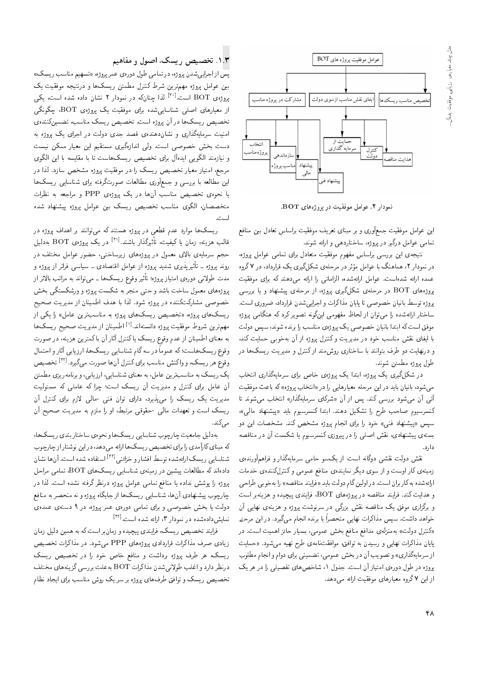

نمودار ۲. عوامل موفقیت در پروژههای BOT.

این عوامل موفقیت جمعأوری و بر مبنای تعریف موفقیت براساس تعادل بین منافع تمامی عوامل درگیر در پروژه، ساختاردهی و ارائه شوند.

نتيجهي اين بررسي براساس مفهوم موفقيت متعادل براي تمامى عوامل يروژه، در نمودار ۲، هماهنگ با عوامل مؤثر در مرحلهی شکلگیری یک قرارداد، در ۷ گروه عمده ارائه شدهاست. عوامل ارائهشده، الزاماتي را ارائه مي دهند كه براي موفقيت یروژههای BOT در مرحلهی شکلگیری پروژه، از مرحلهی پیشنهاد و یا بررسی پروژه توسط بانیان خصوصی تا پایان مذاکرات و اجراییشدن قرارداد، ضروری است. ساختار ارائهشده را می توان از لحاظ مفهومی اینگونه تصویر کرد که هنگامی پروژه موفق است که ابتدا بانیان خصوصی یک پروژهی مناسب را برنده شوند، سپس دولت با ایفای نقش مناسب خود در مدیریت وکنترل پروژه از آن به خوبی حمایت کند. و درنهایت دو طرف بتوانند با ساختاری روش مند از کنترل و مدیریت ریسک ها در طول يروژه مطمئن شوند.

در شکلگیری یک بروژه، ابتدا یک بروژهی خاص برای سرمایهگذاری انتخاب می شود، بانیان باید در این مرحله معیارهایی را در «انتخاب پروژه» که باعث موفقیت آتی آن می شود بررسی کند. پس از آن «شرکای سرمایهگذار» انتخاب می شوند تا كنسرسيوم صاحب طرح را تشكيل دهند. ابتدا كنسرسيوم بايد «پيشنهاد مالي»، سپس «پیشنهاد فنی» خود را برای انجام پروژه مشخص کند. مشخصات این دو بستهی پیشنهادی، نقش اصلبی را در پیروزی کنسرسیوم یا شکست آن در مناقصه دا, د.

نقش دولت نقشی دوگانه است: از یکسو حامی سرمایهگذار و فراهمآورنده، زمینهی کار اوست و از سوی دیگر نمایندهی منافع عمومی و کنترلکنندهی خدمات ارائهشده به کاربران است. در اولین گام دولت باید «فرایند مناقصه» را به خوبی طراحی و هدایت کند. فرایند مناقصه در پروژههای  $\rm{BOT}$ ، فرایندی پیچیده و هزینهبر است و برگزاری موفق یک مناقصه نقش بزرگی در سرنوشت بروژه و هزینهی نهایی آن خواهد داشت. سپس مذاکرات نهایی منحصراً با برنده انجام میگیرد. در این مرحله «کنترل دولت» بهمنزلهی مدافع منافع بخش عمومی، بسیار حائز اهمیت است. در پایان مذاکرات نهایی و رسیدن به توافق، موافقتنامهی طرح تهیه می شود. «حمایت از سرمایهگذاری» و تصویب آن در بخش عمومی، تضمینی برای دوام و انجام مطلوب یروژه در طول دورهی امتیاز آن است. جدول ۱، شاخص های تفصیلی را در هر یک از این ۷ گروه معیارهای موفقیت ارائه می دهد.

#### ۱.۳. تخصیص ریسک، اصول و مفاهیم

یس از اجرایی شدن پروژه، در تمامی طول دورهی عمر پروژه، «تسهیم مناسب ریسک» بین عوامل پروژه مهمترین شرط کنترل مطمئن ریسکها و درنتیجه موفقیت یک پروژهى BOT است.<sup>[۳۰]</sup> لذا چنانكه در نمودار ۲ نشان داده شده است، يكى از معیارهای اصلی شناساییشده برای موفقیت یک پروژهی BOT، چگونگی تخصیص ریسکها در آن پروژه است. تخصیص ریسک مناسب، تضمین کنندهی امنیت سرمایهگذاری و نشاندهندهی قصد جدی دولت در اجرای یک بروژه به دست بخش خصوصی است. ولی اندازهگیری مستقیم این معیار ممکن نیست و نیازمند الگویی ایدهآل برای تخصیص ریسکهاست تا با مقایسه با این الگوی مرجع، امتیاز معیار تخصیص ریسک را در موفقیت پروژه مشخص سازد. لذا در این مطالعه با بررسی و جمعآوری مطالعات صورتگرفته برای شناسایی ریسکها یا نحوهی تخصیص مناسب آنها در یک بروژهی PPP و مراجعه به نظرات متخصصان، الكوى مناسب تخصيص ريسك بين عوامل بروژه پيشنهاد شده

ریسک ها موارد عدم قطعی در پروژه هستند که می توانند بر اهداف پروژه در قالب هزینه، زمان یا کیفیت، تأثیرگذار باشند.<sup>[۳۱]</sup> در یک پروژهی BOT بهدلیل حجم سرمایهی بالای معمول در پروژههای زیرساختی، حضور عوامل مختلف در روند پروژه ـ تأثیرپذیری شدید پروژه از عوامل اقتصادی ـ سیاسی فراتر از پروژه و مدت طولانی دورهی امتیاز بروژه؛ تأثیر وقوع ریسک ها ۔ می تواند به مراتب بالاتر از پروژههای معمول ساخت باشد و حتبی منجر به شکست پروژه و ورشکستگی بخش خصوصی مشارکتکننده در پروژه شود. لذا با هدف اطمینان از مدیریت صحیح ریسک های پروژه، «تخصیص ریسک های پروژه به مناسبترین عامل» را یکی از مهم ترین شروط موفقیت پروژه دانستهاند.<sup>[۱]</sup> اطمینان از مدیریت صحیح ریسک ها به معنای اطمینان از عدم وقوع ریسک یا کنترل آثار آن با کمترین هزینه، در صورت وقوع ریسک هاست؛ که عموماً در سه گام شناسایی ریسک ها، ارزیابی آثار و احتمال وقوع هر ريسك، و واكنش مناسب براي كنترل أنها صورت ميگيرد.[<sup>٣٢]</sup> تخصيص یک ریسک به مناسبترین عامل، به معنای شناسایی، ارزیابی، و برنامهریزی مطمئن آن عامل برای کنترل و مدیریت آن ریسک است؛ چرا که عاملی که مسئولیت مدیریت یک ریسک را می پذیرد، دارای توان فنی -مالی لازم برای کنترل آن ریسک است و تعهدات مالی -حقوقی مرتبط، او را ملزم به مدیریت صحیح آن مے کند.

بهدلیل جامعیت چارچوب شناسایی ریسک ها و نحوهی ساختاربندی ریسک ها، که مبنای کارآمدی را برای تخصیص ریسک ها ارائه می دهد، در این نوشتار از چارچوب شناسایی ریسک ارائهشده توسط افشار و خزائنی <sup>[۳۲]</sup> استفاده شده است. آنها نشان دادهاند که مطالعات پیشین در زمینهی شناسایی ریسک های BOT، تمامی مراحل پروژه را پوشش نداده یا منافع تمامی عوامل پروژه درنظر گرفته نشده است. لذا در چارچوب پیشنهادی آنها، شناسایی ریسک ها از جایگاه پروژه و نه منحصر به منافع دولت یا بخش خصوصی و برای تمامی دورهی عمر پروژه، در ۹ دستهی عمدهی نمایش دادهشده در نمودار ۳، ارائه شده است. [<sup>۳۲]</sup>

فرایند تخصیص ریسک، فرایندی پیچیده و زمان بر است که به همین دلیل زمان زیادی صرف مذاکرات قراردادی پروژههای PPP میشود. در مذاکرات تخصیص ریسک، هر طرف پروژه برداشت و منافع خاص خود را در تخصیص ریسک درنظر دارد و اغلب طولانی شدن مذاکرات BOT به علت بررسی گزینههای مختلف تخصیص ریسک و توافق طرفهای پروژه بر سریک روش مناسب برای ایجاد نظام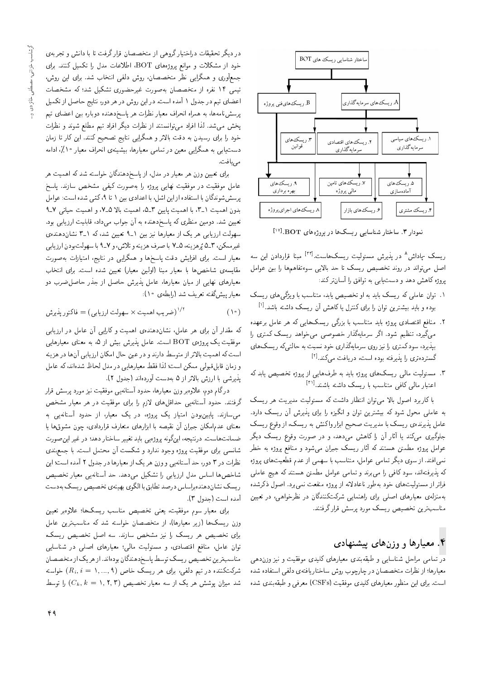

 $[19]$ . BOT اساختار شناسایی ریسکها در پروژههای  $\overline{P}$ . BOT

ریسک -پاداش^ در پذیرش مسئولیت ریسک%است.<sup>[۳۲]</sup> مبنا قراردادن این سه<br>اصلیت مقاضی اصل میتواند در روند تخصیص ریسک تا حد بالایی سوءتفاهمها را بین عوامل یروژه کاهش دهد و دست یابی به توافق را آسان ترکند:

- ا . توان عاملی که ریسک باید به او تخصیص یابد، متناسب با ویژگی های ریسک بوده و باید بیشترین توان را برای کنترل یا کاهش آن ریسک داشته باشد.<sup>[۱]</sup><br>.
- ۰۱ مادهم اقتصادی پروره باید متناسب با بزرگی ریسک هایی که هر عامل برعهده<br>محمد استباهی استباهی است. =Q |QDtm lU}Q Oy=wN|t |YwYN Q=Pox}=tQU Qo = "OwW s}\_vD 'OQ}o|t بپذیرد، سودکممتری را نیز روی سرمایهگذاری خود نسبت به حالتهیکه ریسک های گسترده تری را پذیرفته بوده است، دریافت میکند.<sup>[۲]</sup><br>.
- ۳. مسئولیت مال<sub>ی</sub> ریسکهای پروژه باید به طرفهایی از پروژه تخصیص یابد که اعتبار مال<sub>ی</sub> کافی متناسب با ریسک داشته باشند.<sup>[۳۱]</sup><br>.

با کاربرد اصول بالا می<sub>ا</sub>توان انتظار داشت که مسئولیت مدیریت هر ریسک به عاملی محول شود که بیشترین توان و انگیزه را برای پذیرش آن ریسک دارد. عامل پذیرنده، ریسک با مدیریت صحیح ابزار واکنش به ریسک، از وقوع ریسک جلوگیری میکند یا آثار آن را کاهش می دهد. و در صورت وقوع ریسک دیگر عوامل پروژه مطمئن هستند که آثار ریسک جبران می شود و منافع پروژه به خطر نمی افتد. از سوی دیگر تمامی عوامل، متناسب با سهمی از عدم قطعیتهای پروژه كه پذيرفتهاند، سود كافي را مي,برند و تمامي عوامل مطمئن هستند كه هيچ عاملي فراتر از مسئولیت های خود بهطور ناعادلانه از پروژه منفعت نمی,برد. اصول ذکرشده بهمنزلهی معیارهای اصلی برای راهنمایی شرکتکنندگان در نظرخواهی، در تعیین مناسب ترین تخصیص ریسک مورد برسش قرار گرفتند.

# ۴. معیارها و وزنهای پیشنهادی

<mark>در</mark> تمامی مراحل شناسایی و طبقهبندی معیارهای کلیدی موفقیت و نیز وزن۵هی معيارها؛ از نظرات متخصصان در چارچوب روش ساختاريافتهي دلفي استفاده شده است. برای این منظور معیارهای کلیدی موفقیت (CSFs) معرفی و طبقهبندی شده

در دیگر تحقیقات دراختیار گروهی از متخصصان قرار گرفت تا با دانش و تجربهی خود از مشکلات و موانع پروژههای BOT، اطلاعات مدل را تکمیل کنند. برای جمعأوري و همگرايي نظر متخصصان، روش دلفي انتخاب شد. براي اين روش، تیمی ۱۴ نفره از متخصصان بهصورت غیرحضوری تشکیل شد؛ که مشخصات اعضای تیم در جدول ۱ آمده است. در این روش در هر دور، نتایج حاصل از تکمیل پرسشنامهها، به همراه انحراف معيار نظرات هر پاسخدهنده دوباره بين اعضاى تيم پخش می شد. لذا افراد می توانستند از نظرات دیگر افراد تیم مطلع شوند و نظرات خود را برای رسیدن به دقت بالاتر و همگرایی نتایج تصحیح کنند. این کار تا زمان دست یابی به همگرایی معین در تمامی معیارها، بیشینهی انحراف معیار ۱۰٪، ادامه مى يافت.

برای تعیین وزن هر معیار در مدل، از پاسخدهندگان خواسته شد که اهمیت هر عامل موفقيت در موفقيت نهايى بروژه را بهصورت كيفى مشخص سازند. پاسخ می سده است: عوامل<br>اهمیت اند ا برسش شوندگان با استفاده از این اشل، با اعدادی بین ۱ تا ۹، کمّی شده است: عوامل بدون آهمیت ۱-۱۰ با آهمیت پایین ۱-۵۰ آهمیت بالا ۱-۲۰ و آهمیت حیاتی ۲-۲<br>-تعیین شد. دومین منظری که پاسخدهنده به آن جواب می1ده قابلیت ارزیابی بود.<br>سهولت ارزیابی هر یک از معیارها نیز بین ۹ـ۹ تعیین شد، که ۹ـ۳ نشاندهندهی |xOvyOu=Wv 31 xm 'OW u}}aD 91 u}@ R}v =yQ=}at R= l} Qy |@=}RQ= CrwyU عيرممحن، ١-٤ پرهزيه، ٣-٤ به صرف هزيمه و ٦مرس، و ٢-٧ به سهولب بودن آرزيبي<br>- استفاد المستفاد المستفاد المستفرد المستفرد المستفرد المستفرد المستفرد المستفرد .<br>.<br>. معیار است. برای افزایس دفت پاسخها و همدرایی در تنایج، امتیازات بهصورت<br>--ا مقايسه ي شاخصها با معيار مبنا (اولين معيار) تعيين شده است. براي انتخاب معیارهای نهایی از میان معیارها، عامل پذیرش حاصل از جذر حاصل ضرب دو معیار پیشگفته تعریف شد (رابطهی ۱۰):

$$
(*)
$$

که مقدار آن برای هر عامل، نشاندهمندهی اهمیت و کارایی آن عامل در ارزیابی موفقیت یک پروژهی BOT است. عامل پذیرش بیش از ۵، به معنای معیارهایی است که اهمیت بالاتر از متوسط دارند و در عین حال امکان ارزیابی آنها در هزینه و زمان قابل قبولي ممكن است؛ لذا فقط معبارهايي در مدل لحاظ شدهاند، كه عامل يذيرشي با ارزش بالاتر از ۵ بهدست أوردهاند (جدول ۲).

درگام دوم، علاوهبر وزن معیارها، حدود آستانهیی موفقیت نیز مورد پرسش قرار گرفتند. حدود آستانهیی حداقلهای لازم را برای موفقیت در هر معیار مشخص میسازند. پایینبودن امتیاز یک پروژه، در یک معیار، از حدود آستانهیی به معنای عدم|مکان جبران آن نقیصه با ابزارهای متعارف قراردادی، چون مشوقها یا ضمانت هاست. درنتيجه، اينگونه پروژهيم بايد تغيير ساختار دهد؛ در غير اين صورت شانسبی برای موفقیت بروژه وجود ندارد و شکست آن محتمل است. با جمع بندی نظرات در ۳ دور، حد آستانهیی و وزن هر یک از معیارها در جدول ۲ آمده است؛ این شاخصها اساس مدل ارزیابی را تشکیل می،دهد. حد آستانهیی معیار تخصیص ریسک نشاندهندهبراساس درصد تطابق با الگوی بهینهی تخصیص ریسک بهدست<br>آمده است (جدول ۳). امده است اجدول ۱۱.<br>ا

برای معیار سوم موقفیت، یعنی تحصیص مناسب ریسکیا: علاوہبر تعیین<br>کے ایک ایک ایک ایک ایک مقابل کی ساحت ایک عمل وزن ریسک۱ها (زیر معیارها)، از متخصصان خواسته شد که مناسبترین عامل<br>برای تخصیص هر ریسک را نیز مشخص سازند. سه اصل تخصیص ریسک، برای تحصیص هر ریست را نیز مسحص سازند. سه اصل تحصیص ریست،<br>ما مطالعات است است نوان عامل، منافع اقتصادی، و مستولیت مالی: معیارهای اصلی در سناسایی<br>سال میسکند و در این محمد است است کار است که این است کرا مناسب ترين تخصيص ريسك توسط باسخ دهندگان بودهاند. از هريك از متخصصان شرکتکننده در تیم دلفی، برای هر ریسک خاص (۸٫...,۹) خواسته شد میزان یوشش هر یک از سه معیار تخصیص (۲٫۲٫۳) کا توسط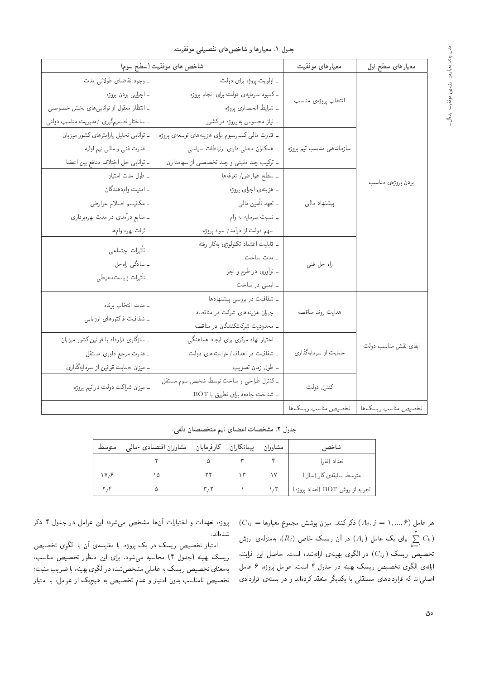| شاخص هاى موفقيت (سطح سوم)                                  | معيارهاى موفقيت                                  | معیارهای سطح اول          |                      |  |
|------------------------------------------------------------|--------------------------------------------------|---------------------------|----------------------|--|
| ۔ وجود تقاضای طولانی مدت                                   | ـ اولويت پروژه برای دولت                         |                           |                      |  |
| ۔ اجرایی بودن پروژه                                        | ـ کمبود سرمایهی دولت برای انجام پروژه            |                           |                      |  |
| ـ انتظار معقول از توانایبی های بخش خصوصبی                  | ۔ شرایط انحصاری پروژه                            | انتخاب پروژهي مناسب       |                      |  |
| ـ ساختار تصمیمگیری /مدیریت مناسب دولتی                     | ـ نیاز محسوس به پروژه درکشور                     |                           |                      |  |
| ـ توانایی تحلیل پارامترهای کشور میزبان                     | _ قدرت مالمي كنسرسيوم براى هزينههاى توسعهى پروژه |                           |                      |  |
| ۔ قدرت فنبی و مالی تیم اولیه                               | ۔ همکاران محلی دارای ارتباطات سیاسی              | سازماندهی مناسب تیم پروژه |                      |  |
| ـ توانايبي حل اختلاف منافع بين اعضا                        | ـ ترکیب چند ملیتی و چند تخصصی از سهامداران       |                           |                      |  |
| ۔ طول مدت امتیاز                                           | ـ سطح عوارض/ تعرفهها                             |                           | بردن پروژەي مناسب    |  |
| - امنيت وام دهندگان                                        | ۔ هزینهی اجرای پروژه                             |                           |                      |  |
| ۔ مکانیسم اصلاح عوارض<br>ــ منابع درآمدی در مدت بهرهبرداری | ۔ تعهد تأمین مالی                                | پیشنهاد مالی              |                      |  |
|                                                            | ۔ نسبت سرمایه به وام                             |                           |                      |  |
| ۔ ثبات بھرہ وامہا                                          | ــ سهم دولت از درآمد/ سود پروژه                  |                           |                      |  |
| ـ تأثيرات اجتماعي                                          | ـ قابليت اعتماد تكنولوژى بهكار رفته              |                           |                      |  |
| ۔ سادگی راہحل                                              | ۔ مدت ساخت                                       | راه حل فنبي               |                      |  |
| ۔ تأثیرات زیست.محیطی                                       | ۔ نوآوری در طرح و اجرا                           |                           |                      |  |
|                                                            | ـ ايمنى در ساخت                                  |                           |                      |  |
| ـ مدت انتخاب برنده                                         | ـ شفافيت در بررسی پیشنهادها                      |                           |                      |  |
| ـ شفافيت فاكتورهاى ارزيابي                                 | ـ جبران هزینههای شرکت در مناقصه                  | هدايت روند مناقصه         |                      |  |
|                                                            | ـ محدودیت شرکتکنندگان در مناقصه                  |                           |                      |  |
| ـ سازگاری قرارداد با قوانین کشور میزبان                    | ـ اختیار نهاد مرکزی برای ایجاد هماهنگی           |                           | ایفای نقش مناسب دولت |  |
| ۔ قدرت مرجع داوری مستقل                                    | ـ شفافيت در اهداف/خواستههاى دولت                 | حمایت از سرمایهگذاری      |                      |  |
| ـ میزان حمایت قوانین از سرمایهگذاری                        | ۔ طول زمان تصویب                                 |                           |                      |  |
| ۔ میزان شراکت دولت در تیم پروژه                            | ـ كنترل طراحى و ساخت توسط شخص سوم مستقل          | كنترل دولت                |                      |  |
|                                                            | ـ شناخت جامعه برای تطبیق با BOT                  |                           |                      |  |
|                                                            |                                                  | تخصيص مناسب ريسك ها       | تخصيص مناسب ريسك ها  |  |

جدول ٢. مشخصات اعضاى تيم متخصصان دلفى.

| متوسط | مشاوران اقتصادى -مالىي | پیمانكاران كارفرمايان | مشاوران | شاخص                           |
|-------|------------------------|-----------------------|---------|--------------------------------|
|       |                        |                       |         | تعداد (نفر)                    |
| 11.9  |                        |                       |         | متوسط سابقەي كار (سال)         |
|       |                        |                       | ۱٬۳     | تجربه از روش BOT (تعداد پروژه) |

 $(C_{ij} = \mathcal{A}$ هر عامل ( $\mathcal{A}_j, j = \{A_j, j = 1, ..., S\}$  ذکرکنند. میزان پوشش مجموع معیارها برای یک عامل  $(A_j)$  در آن ریسک خاص  $(R_i)$ ، بهمنزلهی ارزش  $\sum\limits_{k=1}^{\mathsf{r}}$  $C_k)$ تخصیص ریسک  $(C_{ij})$  در الگوی بهینهی ارائهشده است. حاصل این فرایند، ارائهي الكوى تخصيص ريسك بهينه در جدول ۴ است. عوامل پروژه، ۶ عامل |صلیهاند که قراردادهای مستقلی با یکدیگر منعقد کردهاند و در بستهی قراردادی

پروژه، تعهدات و اختیارات آنها مشخص میشود؛ این عوامل در جدول ۴ ذکر شدهاند.

امتیاز تخصیص ریسک در یک پروژه، با مقایسهی آن با الگوی تخصیص ریسک بهینه (جدول ۴) محاسبه میشود. برای این منظور تخصیص مناسب،<br>بهمعنای تخصیص ریسک به عاملبی مشخصشده درالگوی بهینه، با ضریب مثبت؛ &C@Ft?} Q[=@ 'xv}y@ |wor= QO xOWXNWt |rt=ax@lU}QX}YND |=vatx@ تحصیص نامناسب بدون امتیاز و عدم تحصیص به هیچید از عوامل، با امتیاز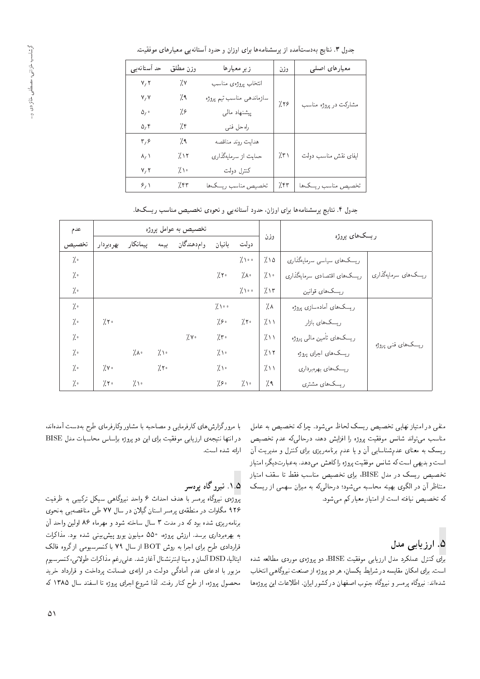| حد آستانهیی                   | وزن مطلق                         | زير معيارها          | وزن  | معیارهای اصلی         |  |
|-------------------------------|----------------------------------|----------------------|------|-----------------------|--|
| V, V                          | 7.٧                              | انتخاب پروژەي مناسب  |      |                       |  |
| V, V                          | سازماندهی مناسب تیم پروژه<br>۷۹. |                      | 7.79 |                       |  |
| $\Delta$ <sub>/</sub> $\circ$ | 79                               | پیشنهاد مالی         |      | مشارکت در پروژه مناسب |  |
| $\Delta, \tilde{\tau}$        | 7.۴                              | راه حل فنبي          |      |                       |  |
| $\mathbf{r},\mathbf{s}$       | 7٩                               | هدايت روند مناقصه    |      |                       |  |
| $\lambda/$                    | ۱۲٪                              | حمایت از سرمایهگذاری | 7.5  | ايفاى نقش مناسب دولت  |  |
| V, V                          | いい                               | كنترل دولت           |      |                       |  |
| $\mathcal{S}_I$               | 7.57                             | تخصيص مناسب ريسك ها  | 7.57 | تخصيص مناسب ريسك ها   |  |

جدول ۳. نتایج بهدستآمده از پرسشنامهها برای اوزان و حدود آستانهیی معیارهای موفقیت.

جدول ۴. نتایج پرسشنامهها برای اوزان، حدود آستانهیی و نحوهی تخصیص مناسب ریسکها.

| عدم           |               |           |               | تخصیص به عوامل پروژه |                 |               |      | ریسکهای بروژه                |                     |  |
|---------------|---------------|-----------|---------------|----------------------|-----------------|---------------|------|------------------------------|---------------------|--|
| تخصيص         | بهرهبردار     | پیمانکار  | بيمه          | وام دهندگان          | بانیان          | دولت          | وزن  |                              |                     |  |
| $\frac{7}{2}$ |               |           |               |                      |                 | 7.1           | 7.10 | ریسک های سیاسی سرمایهگذاری   |                     |  |
| $\frac{7}{2}$ |               |           |               |                      | 7.5             | 7.1           | 7.1  | ریسک های اقتصادی سرمایهگذاری | ریسکهای سرمایهگذاری |  |
| $\frac{7}{2}$ |               |           |               |                      |                 | 7.100         | 7.15 | ریسک های قوانین              |                     |  |
| $\frac{7}{1}$ |               |           |               |                      | $7 \cdot \cdot$ |               | 7.1  | ریسک های آماده سازی پروژه    |                     |  |
| $\frac{7}{2}$ | 7.5           |           |               |                      | 7.80            | $7.5^{\circ}$ | 711  | ریسک های بازار               |                     |  |
| ة ٪           |               |           |               | 7.1                  | 7.5             |               | 7.11 | ریسکهای تأمین مالی یروژه     |                     |  |
| ة ٪           |               | 7.1       | $7 \cdot$     |                      | $7 \cdot$       |               | 7.15 | ريسک هاي اجراي پروژه         | ریسک های فنبی پروژه |  |
| $\frac{7}{2}$ | 7.1           |           | $7.5^{\circ}$ |                      | $7 \cdot$       |               | 711  | ریسک های بهرهبرداری          |                     |  |
| ة ٪           | $7.5^{\circ}$ | $7 \cdot$ |               |                      | 7.80            | 7.1           | 7.9  | ریسکهای مشتری                |                     |  |

منفی در امتیاز نهایی تخصیص ریسک لحاظ میشود. چراکه تخصیص به عامل مناسب مىتواند شانس موفقيت پروژه را افزايش دهد. درحالىكه عدم تخصيص ریسک به معنای عدمشناسایی آن و یا عدم برنامهریزی برای کنترل و مدیریت آن است و بدیهی است که شانس موفقیت پروژه راکاهش می دهد. به عبارتدیگر، امتیاز تخصیص ریسک در مدل BISE، برای تخصیص مناسب فقط تا سقف امتیاز متناظر آن در الگوی بهینه محاسبه میشود؛ درحالیکه به میزان سهمی از ریسک که تخصیص نیافته است از امتیاز معیار کم می شود.

# ۵. ارز بابے مدل

برای کنترل عملکرد مدل ارزیابی موفقیت BISE، دو پروژهی موردی مطالعه شده است. براي امكان مقايسه در شرايط يكسان، هر دو پروژه از صنعت نيروگاهي انتخاب شدهاند: نیروگاه پرمسر و نیروگاه جنوب اصفهان در کشور ایران. اطلاعات این پروژهها

با مرورگزارش های کارفرمایی و مصاحبه با مشاور وکارفرمای طرح بهدست آمدهاند، در انتها نتیجهی ارزیابی موفقیت برای این دو پروژه براساس محاسبات مدل BISE ارائه شده است.

## ۱.۵. نیږوگاه یرهسر

بروژەي نېروگاه برەسر با هدف احداث ۶ واحد نېروگاهي سيكل تركيبي به ظرفيت ۹۲۶ مگاوات در منطقهی پرهسر استان گیلان در سال ۷۷ طی مناقصهیی بهنحوی برنامهریزی شده بود که در مدت ۳ سال ساخته شود و مهرماه ۸۶ اولین واحد آن به بهرهبرداری برسد. ارزش پروژه، ۵۵۰ میلیون بورو پیش بینی شده بود. مذاکرات قراردادی طرح برای اجرا به روش BOT از سال ۷۹ با کنسرسیومی از گروه فالک ابتالیا، DSD آلمان و مپنا اینترنشنال آغاز شد. علی رغم مذاکرات طولانی،کنسرسیوم مزبور با ادعای عدم آمادگی دولت در ارائهی ضمانت پرداخت و قرارداد خرید محصول پروژه، از طرح کنار رفت. لذا شروع اجرای پروژه تا اسفند سال ۱۳۸۵ که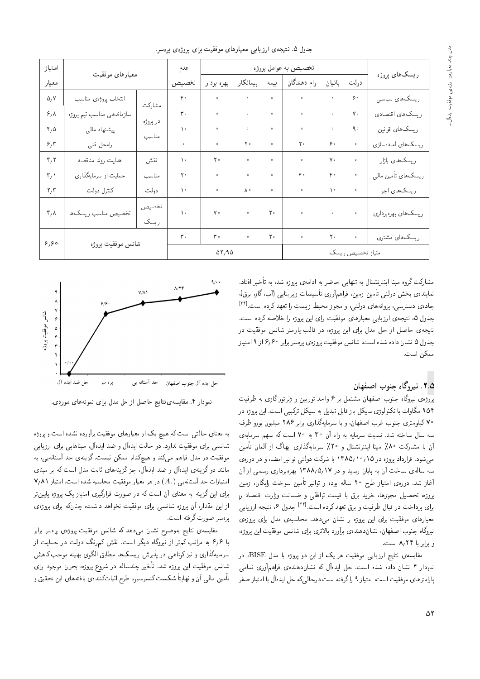|  |  | جدول ۵. نتیجهی ارزیابی معیارهای موفقیت برای پروژهی پرهسر. |  |  |
|--|--|-----------------------------------------------------------|--|--|
|  |  |                                                           |  |  |

| امتياز                          | معيارهاى موفقيت           |               | عدم                     |                      |                    |                      | تخصيص به عوامل پروژه |                    |              | ریسکهای پروژه       |
|---------------------------------|---------------------------|---------------|-------------------------|----------------------|--------------------|----------------------|----------------------|--------------------|--------------|---------------------|
| معيار                           |                           |               | تخصيص                   | بهره بردار           | پیمانکار           | بيمه                 | وام دهندگان          | بانیان             | دولت         |                     |
| $\Delta$ <sub>/</sub> Y         | انتخاب پروژهي مناسب       | مشاركت        | $\mathfrak{e}$ .        | $\ddot{\phantom{0}}$ | $\hat{\mathbf{o}}$ | $\hat{\mathbf{o}}$   | $\circ$              | $\bullet$          | $\zeta$      | ریسک های سیاسی      |
| $\mathcal{S}_1 \wedge$          | سازماندهی مناسب تیم پروژه |               | $\mathsf{r}$ .          | $\ddot{\phantom{0}}$ | $\ddot{\text{o}}$  | $\hat{\mathbf{o}}$   | $\circ$              | $\bullet$          | $V \circ$    | ریسک های اقتصادی    |
| $r, \Delta$                     | پیشنهاد مالی              | در پروژه      | $\lambda$               | $\circ$              | $\ddot{\text{o}}$  | $\hat{\mathbf{o}}$   | $\circ$              | $\hat{\mathbf{o}}$ | $\uparrow$ . | ریسک های قوانین     |
| 5,7                             | راه حل فنبي               | مناسب         | $\ddot{\phantom{a}}$    | $\circ$              | $\mathbf{Y}$ .     | $\circ$              | ٢۰                   | $\zeta$            | $\circ$      | ریسک های آمادهسازی  |
| $\mathfrak{r}_i$ $\mathfrak{r}$ | هدايت روند مناقصه         | نقش           | $\lambda$               | $\mathbf{Y}$ .       | $\circ$            | $\circ$              | $\circ$              | $\mathsf{V} \circ$ |              | ریسک های بازار      |
| $\mathbf{r}_i$                  | حمایت از سرمایهگذاری      | مناسب         | Y <sub>0</sub>          | $\circ$              | $\bullet$          | $\circ$              | ۴۰                   | $\mathfrak{r}$ .   | $\circ$      | ریسک های تأمین مالی |
| $\mathbf{r}/\mathbf{r}$         | كنترل دولت                | دولت          | $\setminus$             | $\circ$              | ٨٠                 | $\circ$              | $\circ$              | $\backslash$ .     | $\circ$      | ریسک های اجرا       |
| $\mathbf{r}, \mathbf{v}$        | تخصيص مناسب ريسكها        | تخصيص<br>ريسک | $\lambda$               | $\mathsf{V} \circ$   | $\hat{\mathbf{o}}$ | $\mathbf{Y}$ .       | $\circ$              | $\hat{\mathbf{o}}$ | $\circ$      | ریسکهای بهرهبرداری  |
| 8,60                            |                           |               | $\mathbf{r}$ .          | $\mathbf{r}$ .       | $\bullet$          | $\mathbf{Y}$ $\circ$ | $\bullet$            | $\mathbf{Y}$ .     | $\bullet$    | ریسک های مشتری      |
|                                 | شانس موفقيت پروژه         |               | $\Delta Y$ , 9 $\Delta$ |                      |                    |                      |                      | امتياز تخصيص ريسك  |              |                     |

 $\ddotsc$ 

مشارکت گروه مینا اینترنشنال به تنهایی حاضر به ادامهی یروژه شد، به تأخیر افتاد. نمایندهى بخش دولتى تأمین زمین، فراهمآورى تأسیسات زیربنایی (آب،گاز، برق). جادهی دسترسی، پروانههای دولتی، و مجوز محیط زیست را تعهد کرده است.<sup>[۳۴]</sup><br>مستقدمات جدول ۵، نتیجهی ارزیابی معیارهای موفقیت برای این یروژه را خلاصه کرده است. نتیجهی حاصل از حل مدل برای این پروژه، در قالب پارامتر شانس موفقیت در جدول ۵ نشان داده شده است. شانس موفقیت بروژهی برهسر برابر ۶٫۶۰ از ۹ امتیاز ممكن است.

#### $A/Yf$  $V/\Lambda$ ۶۱۶, شانس موفقيت پروژ  $6\degree$ حل ضد ايده آل حل ايده آل جنوب اصفهان پره سر حد آستانه یی

## ۲.۵ . نیږوگاه جنوب اصفهان

پروژهی نیروگاه جنوب اصفهان مشتمل بر ۶ واحد توربین و ژنراتور گازی به ظرفیت ۹۵۴ مگاوات با تکنولوژی سیکل باز قابل تبدیل به سیکل ترکیبی است. این بروژه در ۷۰ کیلومتری جنوب غرب اصفهان، و با سرمایهگذاری برابر ۲۸۶ میلیون پورو ظرف سه سال ساخته شد. نسبت سرمایه به وام آن ۳۰ به ۷۰ است که سهم سرمایهی آن با مشارکت ۸۰٪ مینا اینترنشنال و ۲۰٪ سرمایهگذاری ایهاگ از آلمان تأمین می شود. قرارداد پروژه در ۱۳۸۵/۱۰/۱۳۸۵ با شرکت دولتی توانیر امضا، و در دورهی سه سالهی ساخت آن به پایان رسید و در ۱۳۸۸٫۵٫۱۷ بهرهبرداری رسمی از آن آغاز شد. دورهى امتياز طرح ۲۰ ساله بوده و توانير تأمين سوخت رايگان، زمين<br>بروژه، تحصيل مجوزها، خريد برق با قيمت توافقى و ضمانت وزارت اقتصاد ر<sub>ا</sub> ا<br>. پروزه، تحصیل مجوزها، حرید برق با قیمت نوافقی و صمانت وزارت اقتصاد ر<br>استلمان استلمانی از استلمان است و برای انتقال استفاد با استفاد از <sup>[۳۴]</sup> جدول ۶، نتیجه ارزیابی<br>ا برای پرداخت در قبال طرفیت و برق نعهد درده است.<br>استاد معیارهای موقفیت برای این پروژه را ستان می1هد. محاسبهی مدل برای پروژهی<br>مستقل است است است است از سود است. نیروگاه جنوب اصفهان، نشاندهندهی برآورد بالاتری برای شانس موفقیت این پروژه، و برابر با ۸٫۲۴ است.

مقایسهی نتایج ارزیابی موفقیت هر یک از این دو پروژه با مدل BISE، در نمودار ۴ نشان داده شده است. حل ایدهآل که نشاندهندهی فراهمآوری تمامی بارامترهای موفقیت است، امتیاز ۹ راگرفته است درحالیکه حل ایدهآل با امتیاز صفر

نمودار ۴. مقايسه ى نتايج حاصل از حل مدل براى نمونههاى موردى.

به معنای حالتی است که هیچ یک از معیارهای موفقیت برآورده نشده است و پروژه شانسمی برای موفقیت ندارد. دو حالت ایدهآل و ضد ایدهآل، مبناهایی برای ارزیابی موفقیت در مدل فراهم میکند و هیچکدام ممکن نیست. گزینهی حد آستانهیی، به مانند دو گزینه ی ایدهآل و ضد ایدهآل، جزگزینههای ثابت مدل است که بر مبنای  $Y_A \wedge Y_B$ امتیازات حد آستانه بی  $(A_*)$  در هر معیار موفقیت محاسبه شده است. امتیاز ۷٫۸۱ برای این گزینه به معنای آن است که در صورت قرارگیری امتیاز یک پروژه پایینتر از این مقدار، آن پروژه شانسی برای موفقیت نخواهد داشت، چنانکه برای پروژهی يرەسىر صورت گرفتە است.

مقايسه ى نتايج بهوضوح نشان مى،دهد كه شانس موفقيت پروژهى پرەسر برابر با ۶٫۶ به مراتب کمتر از نیروگاه دیگر است. نقش کمرنگ دولت در حمایت از سرمایهگذاری و نیز کوتاهی در پذیرش ریسک ها مطابق الگوی بهینه موجب کاهش شانس موفقیت این پروژه شد. تأخیر چندساله در شروع پروژه، بحران موجود برای تأمين مالمي أن و نهايتاً شكست كنسرسيوم طرح اثباتكنندهى يافتههاى اين تحقيق و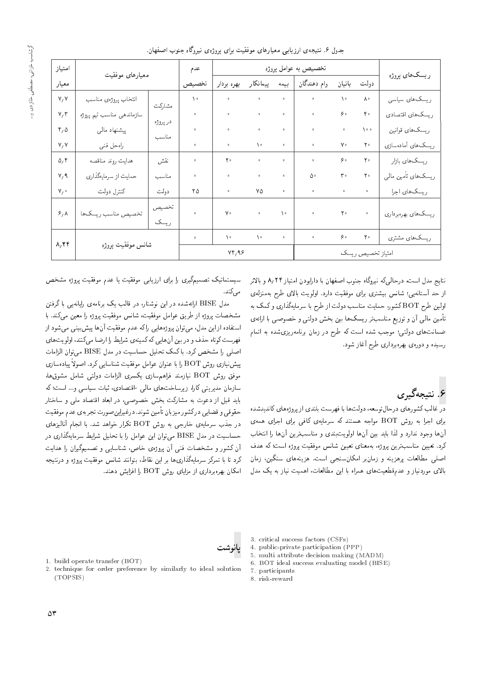حدول ۶. نتیجه ی ارزیابی معیارهای موفقیت برای بروژهی نیروگاه حنوب اصفهان.

| امتياز                  | معيارهاى موفقيت           |               | عدم       |                    |                    |                    | تخصيص به عوامل پروژه |                   |                       |                                 |
|-------------------------|---------------------------|---------------|-----------|--------------------|--------------------|--------------------|----------------------|-------------------|-----------------------|---------------------------------|
| معيار                   |                           |               | تخصيص     | بهره بردار         | پیمانکار           | بيمه               | وام دهندگان          | بانیان            | دولت                  | ريسکھاي پروژه                   |
| V, V                    | انتخاب پروژهي مناسب       |               | $\lambda$ | $\circ$            | $\bullet$          | $\bullet$          | $\bullet$            | $\lambda$         | ٨٠                    | ریسک های سیاسی                  |
| V/T                     | سازماندهى مناسب تيم پروژه | مشاركت        |           | $\ddot{\text{o}}$  | $\ddot{\text{o}}$  | $\ddot{\text{o}}$  | $\hat{\mathbf{o}}$   | ه ۶               | $\mathfrak{r}$ .      | ریسک های اقتصادی                |
| $r, \Delta$             | پیشنهاد مالی              | در پروژه      | $\circ$   | $\circ$            | $\hat{\mathbf{o}}$ | $\hat{\mathbf{o}}$ | $\circ$              |                   | $\lambda \cdot \cdot$ | ریسک های قوانین                 |
| V, V                    | راه حل فنبي               | مناسب         |           | $\bullet$          | $\lambda$ .        | $\bullet$          | $\circ$              | γ۰                | $\mathbf{Y}$ .        | ریسک های آمادهسازی              |
| $\Delta_f$ ۴            | هدايت روند مناقصه         | نقش           | $\circ$   | $\mathbf{Y}$ .     | $\circ$            | $\circ$            | $\circ$              | ه ۶               | $\mathbf{Y}$ .        | ریسک های بازار                  |
| $V,$ $\gamma$           | حمایت از سرمایهگذاری      | مناسب         |           | $\bullet$          | $\bullet$          | $\bullet$          | ۵۰                   | $\mathbf{r}$ .    | $\mathbf{Y}$ .        | ریسک های تأمین مال <sub>ی</sub> |
| $V_f$                   | كنترل دولت                | دولت          | ۲۵        | $\bullet$          | ٧۵                 | $\bullet$          | $\circ$              | $\circ$           | $\circ$               | ریسک های اجرا                   |
| $\mathcal{S}_f \Lambda$ | تخصيص مناسب ريسك ها       | تخصيص<br>ريسک |           | $\mathsf{V} \circ$ | $\hat{\mathbf{o}}$ | $\lambda$          | $\bullet$            | $\mathbf{Y}$ .    | $\circ$               | ريسك هاي بهرهبرداري             |
|                         |                           |               | $\circ$   | $\lambda$          | $\setminus \circ$  | $\circ$            | $\bullet$            | ه ۶               | $\mathbf{Y}$ .        | ریسک های مشتری                  |
| A, Yf                   | شانس موفقيت بروژه         |               | VT/99     |                    |                    |                    |                      | امتياز تخصيص ريسك |                       |                                 |

نتايج مدل است، درحال<sub>م</sub>كه نيروگاه جنوب اصفهان با دارايودن امتياز ۸٬۲۴ و بالاتر از حد آستانه یی؛ شانس بیشتری برای موفقیت دارد. اولویت بالای طرح بهمنزلهی اولین طرح BOT کشور، حمایت مناسب دولت از طرح با سرمایهگذاری و کمک به تأمین مالی آن و توزیع مناسبتر ریسک۵ا بین بخش دولتی و خصوصی با ارائهی ضمانتهای دولتی؛ موجب شده است که طرح در زمان برنامهریزیشده به اتمام رسیده و دورهی بهرهبرداری طرح أغاز شود.

۶. <mark>نتیجهگیری</mark><br>در غالب کشورهای درحال**توسعه، دولتها با فهرست بلندی از بروژهه**ای کاندیدشده در عالب تسورهای در حال وسعه، دولت ها با قهرست بلندی از پروژههای تاشیدسده<br>ا برای اجرا به روش BOT مواجه هستند که سرمایهی کافی برای اجرای همهی<br>تمسط تعلیم است از این مستقبل است. آنها وجود ندارد و لذا باید بین آنها اولویتبندی و مناسبترین آنها را انتخاب<br>کرد. تعیین مناسبترین بروژه، بهمعنای تعیین شانس موفقیت بروژه است؛ که هدف درد. تعیین مناسب رین پروژه، به معنای تعیین سانس موقفیت پروژه است: ده هدف<br>ا اصلی مطالعات پرهزینه و زمان ر امکان سنجی است. هزینه های سنگین، زمان<br>الف بالای موردنیاز و عدمقطعیت های همراه با این مطالعات، اهمیت نیاز به یک مدل

سیستماتیک تصمیمگیری را برای ارزیابی موفقیت یا عدم موفقیت بروژه مشخص مى كىند.

مدل BISE ارائهشده در این نوشتار، در قالب یک برنامهی رایانهیی با گرفتن مشخصات پروژه از طریق عوامل موفقیت، شانس موفقیت پروژه را معین میکند. با<br>استفاده از این مدل، می¢توان بروژههایی را که عدم موفقیت آنها بیش بینی می¢شود از فهرست کوتاه حذف و در بین آن هایی که کمینهی شرایط را ارضا می کنند، اولویت های قهرست دوناه حدف و در بین آن هایی که کمینهی سرایط را آرصا می(کنند) اولویت های<br>استان استان کو سال کو سال سال پس از DIGE میلیا با سال اصلی را مشخص کرد. با کمک تحلیل حساسیت در مدل BISE میتوان الزامات<br>مصناحی میں DOT المصطلح علی ساحت تصنیف است پیادهسازی<br>ـ ییش نیازی روش BOT را با عنوان عوامل موفقیت شناسایی کرد. اصولاً پیادهسازی موفق روش BOT نیازمند فراهم.سازی یکسری الزامات دولتی شامل مشوقها،<br>پایا مسلمات سازمان مدیریتی کارا، زیرساخت۱ای مالی -اقتصادی، ثبات سیاسی و… است؛که<br>باید قبل از دعوت به مشارکت بخش خصوصی، در ابعاد اقتصاد ملی و ساختار Q=DN=U w |rt O=YDk= O=a@= QO '|YwYN VN@ CmQ=Wt x@ CwaO R= p@k O}=@ حقوقی و فضایی در تشور میزبان تامین شوند. درغیراین صورت تجربه ی عدم موفقیت<br>مستقل استان استان در جذب سرمایهی خارجی به روش BOT تکرار خواهد شد. با انجام آنالیزهای حساسیت در مدل BISE می;توان این عوامل را با تحلیل شرایط سرمایهگذاری در آن کشور و مشخصات فنبی آن یروژهی خاص، شناسایی و تصمیمگیران را هدایت کرد تا با تمرکز سرمایهگذاری ها بر این نقاط، بتوانند شانس موفقیت پروژه و درنتیجه امکان بهرهبرداری از مزایای روش BOT را افزایش دهند.

- 3. critical success factors (CSFs)
- 4. public-private participation (PPP)
- 5. multi attribute decision making (MADM)
- 6. BOT ideal success evaluating model (BISE)
- 7. participants
- 8. risk-reward

پانوشت

- 1. build operate transfer (BOT)
- 2. technique for order preference by similarly to ideal solution (TOPSIS)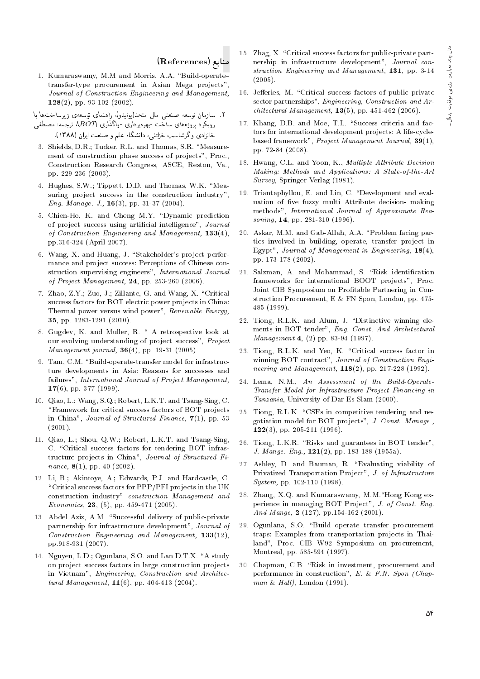#### منابع (References)

1. Kumaraswamy, M.M and Morris, A.A. "Build-operatetransfer-type procurement in Asian Mega projects", Journal of Construction Engineering and Management,  $128(2)$ , pp. 93-102 (2002).

۲. سازمان توسعه صنعتبى ملل متحد(يونيدو)، راهنماى توسعهى زيرساختها با

رویکرد پروژههای ساخت -بهرهبرداری -واگذاری (BOT)، ترجمه: مصطفی<br>خانزادی وگرشاسب خزائنم، دانشگاه علم و صنعت ایران (۱۳۸۸).

- حائزادی و درساسب حزانسی، داستداه علم و صنعت ایران (۱۱۰۸۸).<br>3. Shields, D.R.; Tucker, R.L. and Thomas, S.R. "Measurement of construction phase success of projects", Proc., Construction Research Congress, ASCE, Reston, Va., pp. 229-236 (2003).
- 4. Hughes, S.W.; Tippett, D.D. and Thomas, W.K. "Measuring project success in the construction industry", Eng. Manage. J.,  $16(3)$ , pp. 31-37 (2004).
- 5. Chien-Ho, K. and Cheng M.Y. "Dynamic prediction of project success using artificial intelligence", Journal of Construction Engineering and Management, 133(4), pp.316-324 (April 2007).
- 6. Wang, X. and Huang, J. "Stakeholder's project performance and project success: Perceptions of Chinese construction supervising engineers", International Journal of Project Management, 24, pp. 253-260 (2006).
- 7. Zhao, Z.Y.; Zuo, J.; Zillante, G. and Wang, X. \Critical success factors for BOT electric power projects in China: Thermal power versus wind power", Renewable Energy, 35, pp. 1283-1291 (2010).
- 8. Gugdev, K. and Muller, R. " A retrospective look at our evolving understanding of project success", Project Management journal, 36(4), pp. 19-31 (2005).
- 9. Tam, C.M. "Build-operate-transfer model for infrastructure developments in Asia: Reasons for successes and failures", International Journal of Project Management, 17(6), pp. 377 (1999).
- 10. Qiao, L.; Wang, S.Q.; Robert, L.K.T. and Tsang-Sing, C. \Framework for critical success factors of BOT projects in China", Journal of Structured Finance, 7(1), pp. 53 (2001).
- 11. Qiao, L.; Shou, Q.W.; Robert, L.K.T. and Tsang-Sing, C. "Critical success factors for tendering BOT infrastructure projects in China", Journal of Structured Finance,  $8(1)$ , pp. 40 (2002).
- 12. Li, B.; Akintoye, A.; Edwards, P.J. and Hardcastle, C. \Critical success factors for PPP/PFI projects in the UK construction industry" construction Management and Economics, 23, (5), pp. 459-471 (2005).
- 13. Abdel Aziz, A.M. "Successful delivery of public-private partnership for infrastructure development", Journal of Construction Engineering and Management, 133(12), pp.918-931 (2007).
- 14. Nguyen, L.D.; Ogunlana, S.O. and Lan D.T.X. "A study on project success factors in large construction projects in Vietnam", Engineering, Construction and Architectural Management,  $11(6)$ , pp. 404-413 (2004).
- 15. Zhag, X. "Critical success factors for public-private partnership in infrastructure development", Journal construction Engineering and Management, 131, pp. 3-14 (2005).
- 16. Jefferies, M. "Critical success factors of public private sector partnerships", Engineering, Construction and Ar $chitectural Management, 13(5), pp. 451-462 (2006).$
- 17. Khang, D.B. and Moe, T.L. "Success criteria and factors for international development projects: A life-cyclebased framework", Project Management Journal, 39(1), pp. 72-84 (2008).
- 18. Hwang, C.L. and Yoon, K., Multiple Attribute Decision Making: Methods and Applications: A State-of-the-Art Survey, Springer Verlag (1981).
- 19. Triantaphyllou, E. and Lin, C. \Development and evaluation of five fuzzy multi Attribute decision- making methods", International Journal of Approximate Reasoning, **14**, pp. 281-310 (1996).
- 20. Askar, M.M. and Gab-Allah, A.A. \Problem facing parties involved in building, operate, transfer project in Egypt", Journal of Management in Engineering, 18(4), pp. 173-178 (2002).
- 21. Salzman, A. and Mohammad, S. "Risk identification frameworks for international BOOT projects", Proc. Joint CIB Symposium on Profitable Partnering in Construction Procurement, E & FN Spon, London, pp. 475- 485 (1999).
- 22. Tiong, R.L.K. and Alum, J. "Distinctive winning elements in BOT tender", Eng. Const. And Architectural Management 4, (2) pp. 83-94 (1997).
- 23. Tiong, R.L.K. and Yeo, K. \Critical success factor in winning BOT contract", Journal of Construction Engineering and Management,  $118(2)$ , pp. 217-228 (1992).
- 24. Lema, N.M., An Assessment of the Build-Operate-Transfer Model for Infrastructure Project Financing in Tanzania, University of Dar Es Slam (2000).
- 25. Tiong, R.L.K. "CSFs in competitive tendering and negotiation model for BOT projects", J. Const. Manage., 122(3), pp. 205-211 (1996).
- 26. Tiong, L.K.R. "Risks and guarantees in BOT tender", J. Mange. Eng., 121(2), pp. 183-188 (1955a).
- 27. Ashley, D. and Bauman, R. "Evaluating viability of Privatized Transportation Project", J. of Infrastructure System, pp. 102-110 (1998).
- 28. Zhang, X.Q. and Kumaraswamy, M.M."Hong Kong experience in managing BOT Project", J. of Const. Eng. And Mange, 2 (127), pp.154-162 (2001).
- 29. Ogunlana, S.O. "Build operate transfer procurement traps: Examples from transportation projects in Thailand", Proc. CIB W92 Symposium on procurement, Montreal, pp. 585-594 (1997).
- 30. Chapman, C.B. "Risk in investment, procurement and performance in construction", E. & F.N. Spon (Chapman  $\&$  Hall), London (1991).